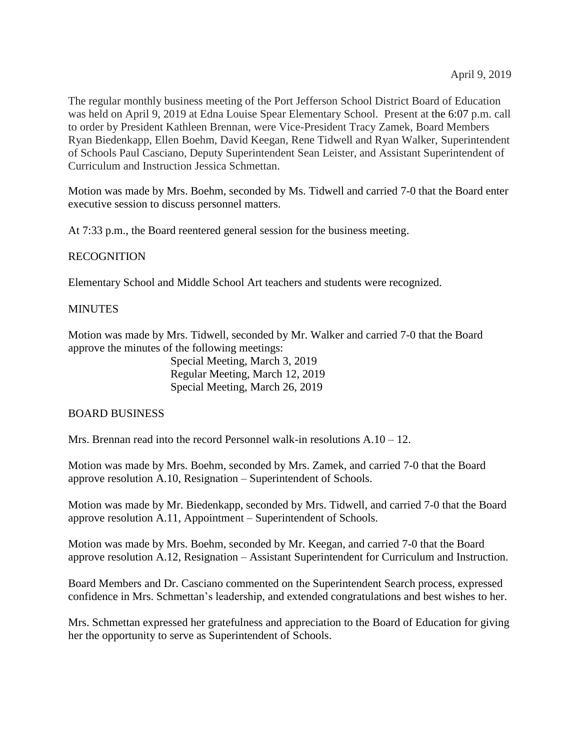The regular monthly business meeting of the Port Jefferson School District Board of Education was held on April 9, 2019 at Edna Louise Spear Elementary School. Present at the 6:07 p.m. call to order by President Kathleen Brennan, were Vice-President Tracy Zamek, Board Members Ryan Biedenkapp, Ellen Boehm, David Keegan, Rene Tidwell and Ryan Walker, Superintendent of Schools Paul Casciano, Deputy Superintendent Sean Leister, and Assistant Superintendent of Curriculum and Instruction Jessica Schmettan.

Motion was made by Mrs. Boehm, seconded by Ms. Tidwell and carried 7-0 that the Board enter executive session to discuss personnel matters.

At 7:33 p.m., the Board reentered general session for the business meeting.

# RECOGNITION

Elementary School and Middle School Art teachers and students were recognized.

# **MINUTES**

Motion was made by Mrs. Tidwell, seconded by Mr. Walker and carried 7-0 that the Board approve the minutes of the following meetings:

> Special Meeting, March 3, 2019 Regular Meeting, March 12, 2019 Special Meeting, March 26, 2019

### BOARD BUSINESS

Mrs. Brennan read into the record Personnel walk-in resolutions  $A.10 - 12$ .

Motion was made by Mrs. Boehm, seconded by Mrs. Zamek, and carried 7-0 that the Board approve resolution A.10, Resignation – Superintendent of Schools.

Motion was made by Mr. Biedenkapp, seconded by Mrs. Tidwell, and carried 7-0 that the Board approve resolution A.11, Appointment – Superintendent of Schools.

Motion was made by Mrs. Boehm, seconded by Mr. Keegan, and carried 7-0 that the Board approve resolution A.12, Resignation – Assistant Superintendent for Curriculum and Instruction.

Board Members and Dr. Casciano commented on the Superintendent Search process, expressed confidence in Mrs. Schmettan's leadership, and extended congratulations and best wishes to her.

Mrs. Schmettan expressed her gratefulness and appreciation to the Board of Education for giving her the opportunity to serve as Superintendent of Schools.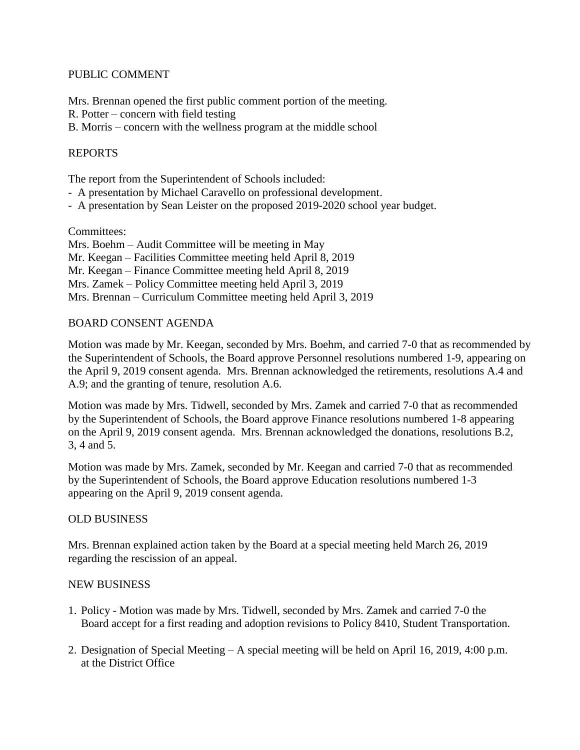### PUBLIC COMMENT

Mrs. Brennan opened the first public comment portion of the meeting.

R. Potter – concern with field testing

B. Morris – concern with the wellness program at the middle school

# REPORTS

The report from the Superintendent of Schools included:

- A presentation by Michael Caravello on professional development.
- A presentation by Sean Leister on the proposed 2019-2020 school year budget.

### Committees:

# BOARD CONSENT AGENDA

Motion was made by Mr. Keegan, seconded by Mrs. Boehm, and carried 7-0 that as recommended by the Superintendent of Schools, the Board approve Personnel resolutions numbered 1-9, appearing on the April 9, 2019 consent agenda. Mrs. Brennan acknowledged the retirements, resolutions A.4 and A.9; and the granting of tenure, resolution A.6.

Motion was made by Mrs. Tidwell, seconded by Mrs. Zamek and carried 7-0 that as recommended by the Superintendent of Schools, the Board approve Finance resolutions numbered 1-8 appearing on the April 9, 2019 consent agenda. Mrs. Brennan acknowledged the donations, resolutions B.2, 3, 4 and 5.

Motion was made by Mrs. Zamek, seconded by Mr. Keegan and carried 7-0 that as recommended by the Superintendent of Schools, the Board approve Education resolutions numbered 1-3 appearing on the April 9, 2019 consent agenda.

### OLD BUSINESS

Mrs. Brennan explained action taken by the Board at a special meeting held March 26, 2019 regarding the rescission of an appeal.

### NEW BUSINESS

- 1. Policy Motion was made by Mrs. Tidwell, seconded by Mrs. Zamek and carried 7-0 the Board accept for a first reading and adoption revisions to Policy 8410, Student Transportation.
- 2. Designation of Special Meeting A special meeting will be held on April 16, 2019, 4:00 p.m. at the District Office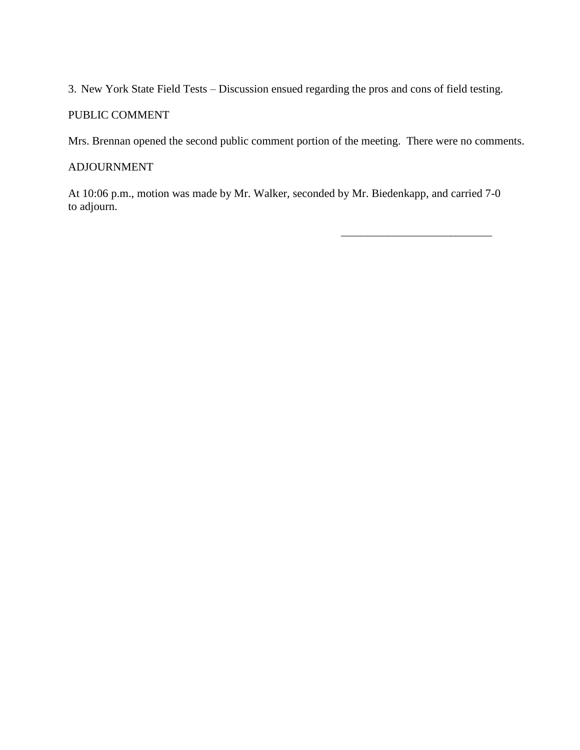3. New York State Field Tests – Discussion ensued regarding the pros and cons of field testing.

# PUBLIC COMMENT

Mrs. Brennan opened the second public comment portion of the meeting. There were no comments.

# ADJOURNMENT

At 10:06 p.m., motion was made by Mr. Walker, seconded by Mr. Biedenkapp, and carried 7-0 to adjourn.

\_\_\_\_\_\_\_\_\_\_\_\_\_\_\_\_\_\_\_\_\_\_\_\_\_\_\_\_\_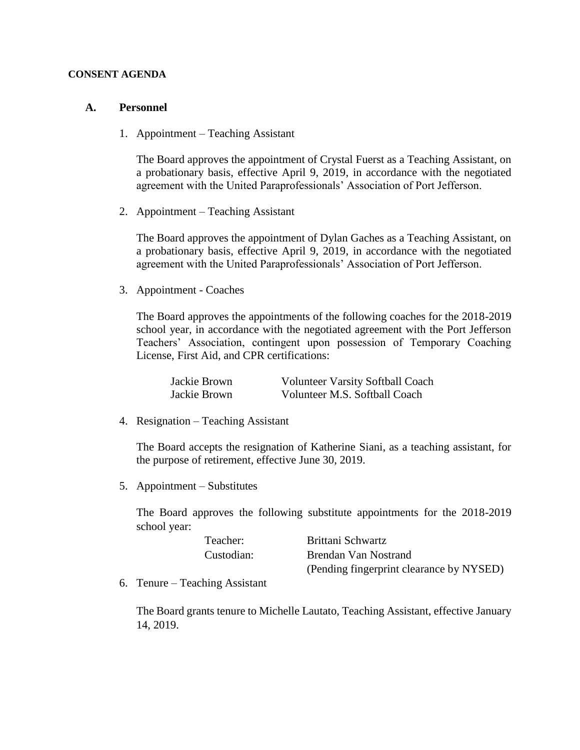#### **CONSENT AGENDA**

#### **A. Personnel**

1. Appointment – Teaching Assistant

The Board approves the appointment of Crystal Fuerst as a Teaching Assistant, on a probationary basis, effective April 9, 2019, in accordance with the negotiated agreement with the United Paraprofessionals' Association of Port Jefferson.

2. Appointment – Teaching Assistant

The Board approves the appointment of Dylan Gaches as a Teaching Assistant, on a probationary basis, effective April 9, 2019, in accordance with the negotiated agreement with the United Paraprofessionals' Association of Port Jefferson.

3. Appointment - Coaches

The Board approves the appointments of the following coaches for the 2018-2019 school year, in accordance with the negotiated agreement with the Port Jefferson Teachers' Association, contingent upon possession of Temporary Coaching License, First Aid, and CPR certifications:

| Jackie Brown | <b>Volunteer Varsity Softball Coach</b> |
|--------------|-----------------------------------------|
| Jackie Brown | Volunteer M.S. Softball Coach           |

4. Resignation – Teaching Assistant

The Board accepts the resignation of Katherine Siani, as a teaching assistant, for the purpose of retirement, effective June 30, 2019.

5. Appointment – Substitutes

The Board approves the following substitute appointments for the 2018-2019 school year:

| Teacher:   | Brittani Schwartz                        |
|------------|------------------------------------------|
| Custodian: | Brendan Van Nostrand                     |
|            | (Pending fingerprint clearance by NYSED) |

6. Tenure – Teaching Assistant

The Board grants tenure to Michelle Lautato, Teaching Assistant, effective January 14, 2019.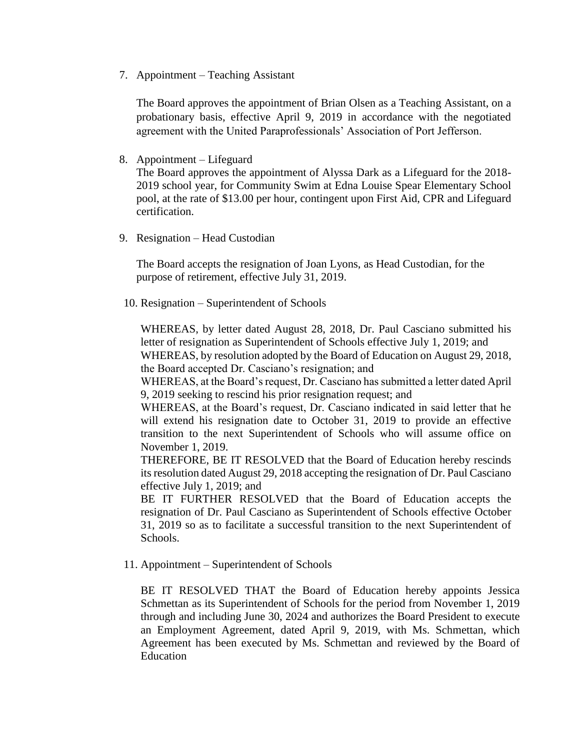7. Appointment – Teaching Assistant

The Board approves the appointment of Brian Olsen as a Teaching Assistant, on a probationary basis, effective April 9, 2019 in accordance with the negotiated agreement with the United Paraprofessionals' Association of Port Jefferson.

8. Appointment – Lifeguard

The Board approves the appointment of Alyssa Dark as a Lifeguard for the 2018- 2019 school year, for Community Swim at Edna Louise Spear Elementary School pool, at the rate of \$13.00 per hour, contingent upon First Aid, CPR and Lifeguard certification.

9. Resignation – Head Custodian

The Board accepts the resignation of Joan Lyons, as Head Custodian, for the purpose of retirement, effective July 31, 2019.

10. Resignation – Superintendent of Schools

WHEREAS, by letter dated August 28, 2018, Dr. Paul Casciano submitted his letter of resignation as Superintendent of Schools effective July 1, 2019; and

WHEREAS, by resolution adopted by the Board of Education on August 29, 2018, the Board accepted Dr. Casciano's resignation; and

WHEREAS, at the Board's request, Dr. Casciano has submitted a letter dated April 9, 2019 seeking to rescind his prior resignation request; and

WHEREAS, at the Board's request, Dr. Casciano indicated in said letter that he will extend his resignation date to October 31, 2019 to provide an effective transition to the next Superintendent of Schools who will assume office on November 1, 2019.

THEREFORE, BE IT RESOLVED that the Board of Education hereby rescinds its resolution dated August 29, 2018 accepting the resignation of Dr. Paul Casciano effective July 1, 2019; and

BE IT FURTHER RESOLVED that the Board of Education accepts the resignation of Dr. Paul Casciano as Superintendent of Schools effective October 31, 2019 so as to facilitate a successful transition to the next Superintendent of Schools.

11. Appointment – Superintendent of Schools

BE IT RESOLVED THAT the Board of Education hereby appoints Jessica Schmettan as its Superintendent of Schools for the period from November 1, 2019 through and including June 30, 2024 and authorizes the Board President to execute an Employment Agreement, dated April 9, 2019, with Ms. Schmettan, which Agreement has been executed by Ms. Schmettan and reviewed by the Board of Education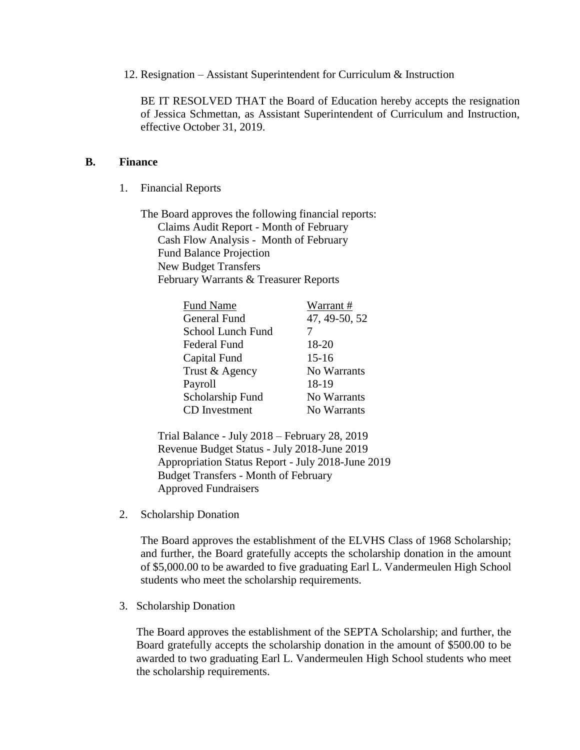12. Resignation – Assistant Superintendent for Curriculum & Instruction

BE IT RESOLVED THAT the Board of Education hereby accepts the resignation of Jessica Schmettan, as Assistant Superintendent of Curriculum and Instruction, effective October 31, 2019.

#### **B. Finance**

1. Financial Reports

The Board approves the following financial reports: Claims Audit Report - Month of February Cash Flow Analysis - Month of February Fund Balance Projection New Budget Transfers February Warrants & Treasurer Reports

| <b>Fund Name</b>     | Warrant#      |
|----------------------|---------------|
| <b>General Fund</b>  | 47, 49-50, 52 |
| School Lunch Fund    |               |
| Federal Fund         | 18-20         |
| Capital Fund         | $15 - 16$     |
| Trust & Agency       | No Warrants   |
| Payroll              | 18-19         |
| Scholarship Fund     | No Warrants   |
| <b>CD</b> Investment | No Warrants   |

Trial Balance - July 2018 – February 28, 2019 Revenue Budget Status - July 2018-June 2019 Appropriation Status Report - July 2018-June 2019 Budget Transfers - Month of February Approved Fundraisers

2. Scholarship Donation

The Board approves the establishment of the ELVHS Class of 1968 Scholarship; and further, the Board gratefully accepts the scholarship donation in the amount of \$5,000.00 to be awarded to five graduating Earl L. Vandermeulen High School students who meet the scholarship requirements.

3. Scholarship Donation

The Board approves the establishment of the SEPTA Scholarship; and further, the Board gratefully accepts the scholarship donation in the amount of \$500.00 to be awarded to two graduating Earl L. Vandermeulen High School students who meet the scholarship requirements.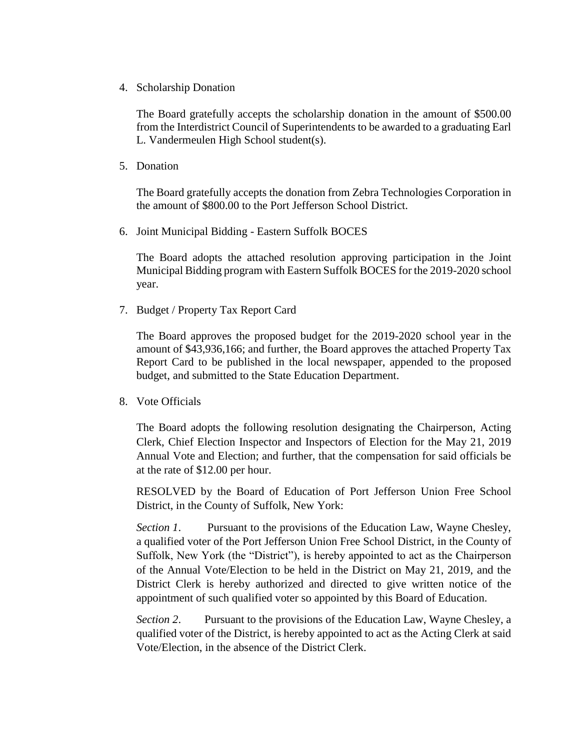4. Scholarship Donation

The Board gratefully accepts the scholarship donation in the amount of \$500.00 from the Interdistrict Council of Superintendents to be awarded to a graduating Earl L. Vandermeulen High School student(s).

5. Donation

The Board gratefully accepts the donation from Zebra Technologies Corporation in the amount of \$800.00 to the Port Jefferson School District.

6. Joint Municipal Bidding - Eastern Suffolk BOCES

The Board adopts the attached resolution approving participation in the Joint Municipal Bidding program with Eastern Suffolk BOCES for the 2019-2020 school year.

7. Budget / Property Tax Report Card

The Board approves the proposed budget for the 2019-2020 school year in the amount of \$43,936,166; and further, the Board approves the attached Property Tax Report Card to be published in the local newspaper, appended to the proposed budget, and submitted to the State Education Department.

8. Vote Officials

The Board adopts the following resolution designating the Chairperson, Acting Clerk, Chief Election Inspector and Inspectors of Election for the May 21, 2019 Annual Vote and Election; and further, that the compensation for said officials be at the rate of \$12.00 per hour.

RESOLVED by the Board of Education of Port Jefferson Union Free School District, in the County of Suffolk, New York:

*Section 1*. Pursuant to the provisions of the Education Law, Wayne Chesley, a qualified voter of the Port Jefferson Union Free School District, in the County of Suffolk, New York (the "District"), is hereby appointed to act as the Chairperson of the Annual Vote/Election to be held in the District on May 21, 2019, and the District Clerk is hereby authorized and directed to give written notice of the appointment of such qualified voter so appointed by this Board of Education.

*Section 2*. Pursuant to the provisions of the Education Law, Wayne Chesley, a qualified voter of the District, is hereby appointed to act as the Acting Clerk at said Vote/Election, in the absence of the District Clerk.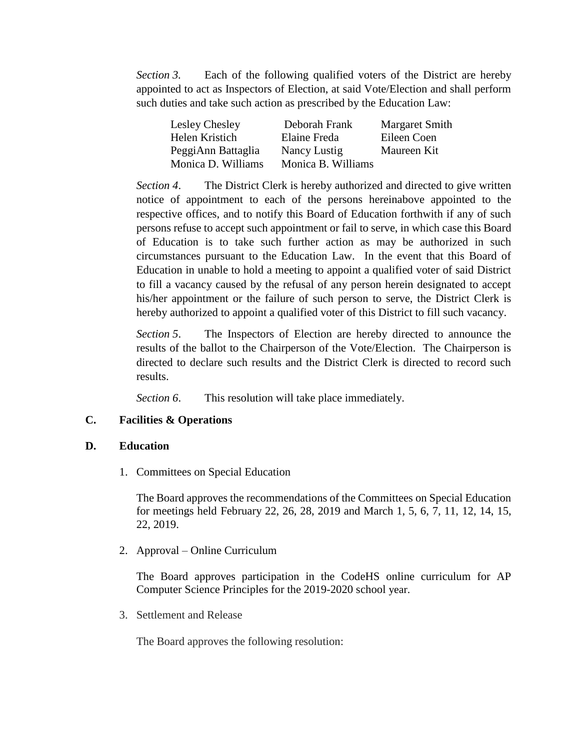*Section 3.* Each of the following qualified voters of the District are hereby appointed to act as Inspectors of Election, at said Vote/Election and shall perform such duties and take such action as prescribed by the Education Law:

| Lesley Chesley     | Deborah Frank      | <b>Margaret Smith</b> |
|--------------------|--------------------|-----------------------|
| Helen Kristich     | Elaine Freda       | Eileen Coen           |
| PeggiAnn Battaglia | Nancy Lustig       | Maureen Kit           |
| Monica D. Williams | Monica B. Williams |                       |

*Section 4*. The District Clerk is hereby authorized and directed to give written notice of appointment to each of the persons hereinabove appointed to the respective offices, and to notify this Board of Education forthwith if any of such persons refuse to accept such appointment or fail to serve, in which case this Board of Education is to take such further action as may be authorized in such circumstances pursuant to the Education Law. In the event that this Board of Education in unable to hold a meeting to appoint a qualified voter of said District to fill a vacancy caused by the refusal of any person herein designated to accept his/her appointment or the failure of such person to serve, the District Clerk is hereby authorized to appoint a qualified voter of this District to fill such vacancy.

*Section 5*. The Inspectors of Election are hereby directed to announce the results of the ballot to the Chairperson of the Vote/Election. The Chairperson is directed to declare such results and the District Clerk is directed to record such results.

*Section 6*. This resolution will take place immediately.

### **C. Facilities & Operations**

### **D. Education**

1. Committees on Special Education

The Board approves the recommendations of the Committees on Special Education for meetings held February 22, 26, 28, 2019 and March 1, 5, 6, 7, 11, 12, 14, 15, 22, 2019.

2. Approval – Online Curriculum

The Board approves participation in the CodeHS online curriculum for AP Computer Science Principles for the 2019-2020 school year.

3. Settlement and Release

The Board approves the following resolution: